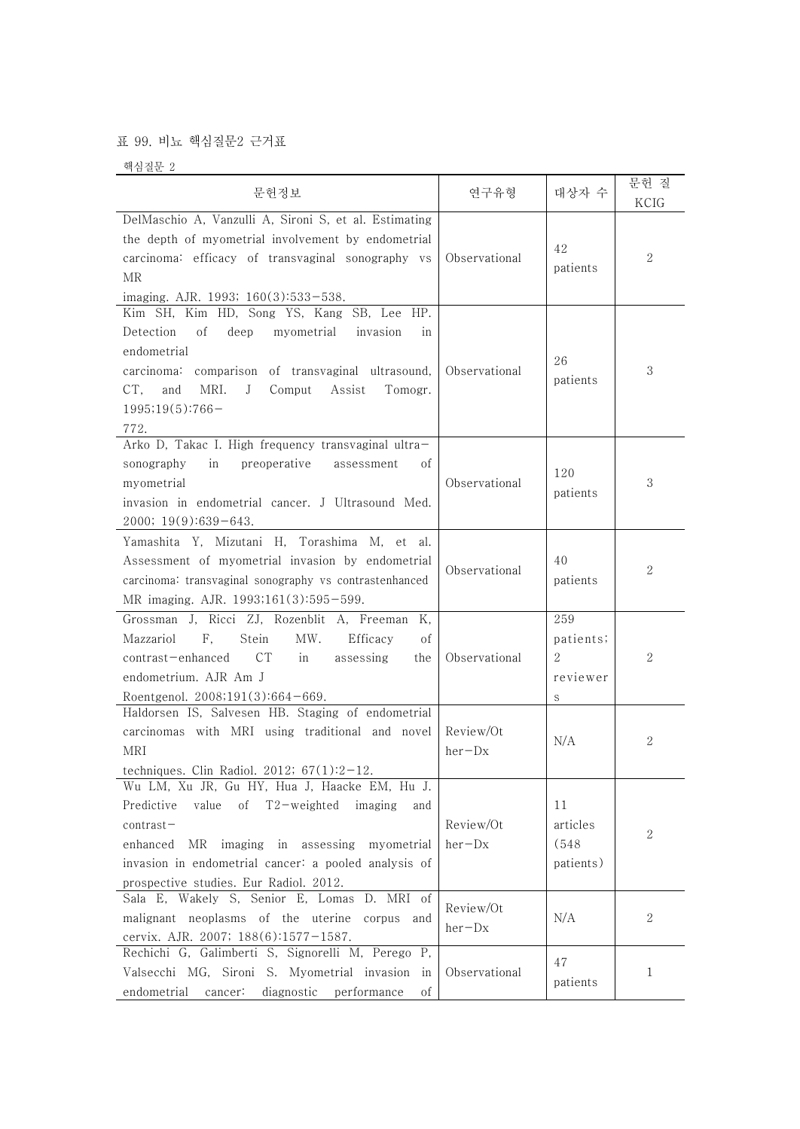## 표 99. 비뇨 핵심질문2 근거표

핵심질문 2

| 문헌정보                                                                                                                                                                                                                                                                       | 연구유형                  | 대상자 수                                               | 문헌 질<br>KCIG     |  |
|----------------------------------------------------------------------------------------------------------------------------------------------------------------------------------------------------------------------------------------------------------------------------|-----------------------|-----------------------------------------------------|------------------|--|
| DelMaschio A, Vanzulli A, Sironi S, et al. Estimating<br>the depth of myometrial involvement by endometrial<br>carcinoma: efficacy of transvaginal sonography vs<br>MR<br>imaging. AJR. 1993; 160(3):533-538.                                                              | Observational         | 42<br>patients                                      | 2                |  |
| Kim SH, Kim HD, Song YS, Kang SB, Lee HP.<br>Detection<br>deep<br>myometrial<br>οf<br>invasion<br>1n<br>endometrial<br>carcinoma: comparison of transvaginal ultrasound,<br>CT,<br>and<br>MRI.<br>J<br>Comput<br>Assist<br>Tomogr.<br>$1995;19(5):766-$<br>772.            | Observational         | 26<br>patients                                      | 3                |  |
| Arko D, Takac I. High frequency transvaginal ultra-<br>preoperative<br>sonography<br>in<br>assessment<br>οf<br>myometrial<br>invasion in endometrial cancer. J Ultrasound Med.<br>$2000; 19(9):639-643.$                                                                   | Observational         | 120<br>patients                                     | 3                |  |
| Yamashita Y, Mizutani H, Torashima M, et al.<br>Assessment of myometrial invasion by endometrial<br>carcinoma: transvaginal sonography vs contrastenhanced<br>MR imaging. AJR. 1993;161(3):595-599.                                                                        | Observational         | 40<br>patients                                      | $\overline{2}$   |  |
| Grossman J, Ricci ZJ, Rozenblit A, Freeman<br>К,<br>F,<br>MW.<br>Mazzariol<br>Stein<br>Efficacy<br>οf<br>contrast-enhanced<br>C <sub>T</sub><br>assessing<br>in<br>the<br>endometrium. AJR Am J<br>Roentgenol. $2008,191(3):664-669$ .                                     | Observational         | 259<br>patients;<br>$\overline{2}$<br>reviewer<br>S | 2                |  |
| Haldorsen IS, Salvesen HB. Staging of endometrial<br>carcinomas with MRI using traditional and novel<br>MRI<br>techniques. Clin Radiol. 2012; $67(1):2-12$ .                                                                                                               | Review/Ot<br>$her-Dx$ | N/A                                                 | 2                |  |
| Wu LM, Xu JR, Gu HY, Hua J, Haacke EM, Hu J.<br>of T2-weighted<br>Predictive<br>value<br>imaging<br>and<br>$contrast-$<br>enhanced<br>MR imaging in assessing myometrial<br>invasion in endometrial cancer: a pooled analysis of<br>prospective studies. Eur Radiol. 2012. | Review/Ot<br>$her-Dx$ | 11<br>articles<br>(548)<br>patients)                | $\boldsymbol{2}$ |  |
| Sala E, Wakely S, Senior E, Lomas<br>D. MRI of<br>malignant neoplasms of the uterine<br>corpus and<br>cervix. AJR. 2007; 188(6):1577-1587.                                                                                                                                 | Review/Ot<br>$her-Dx$ | N/A                                                 | 2                |  |
| Rechichi G, Galimberti S, Signorelli M, Perego P,<br>Valsecchi MG, Sironi S. Myometrial invasion in<br>endometrial<br>diagnostic performance<br>cancer:<br>οf                                                                                                              | Observational         | 47<br>patients                                      | 1                |  |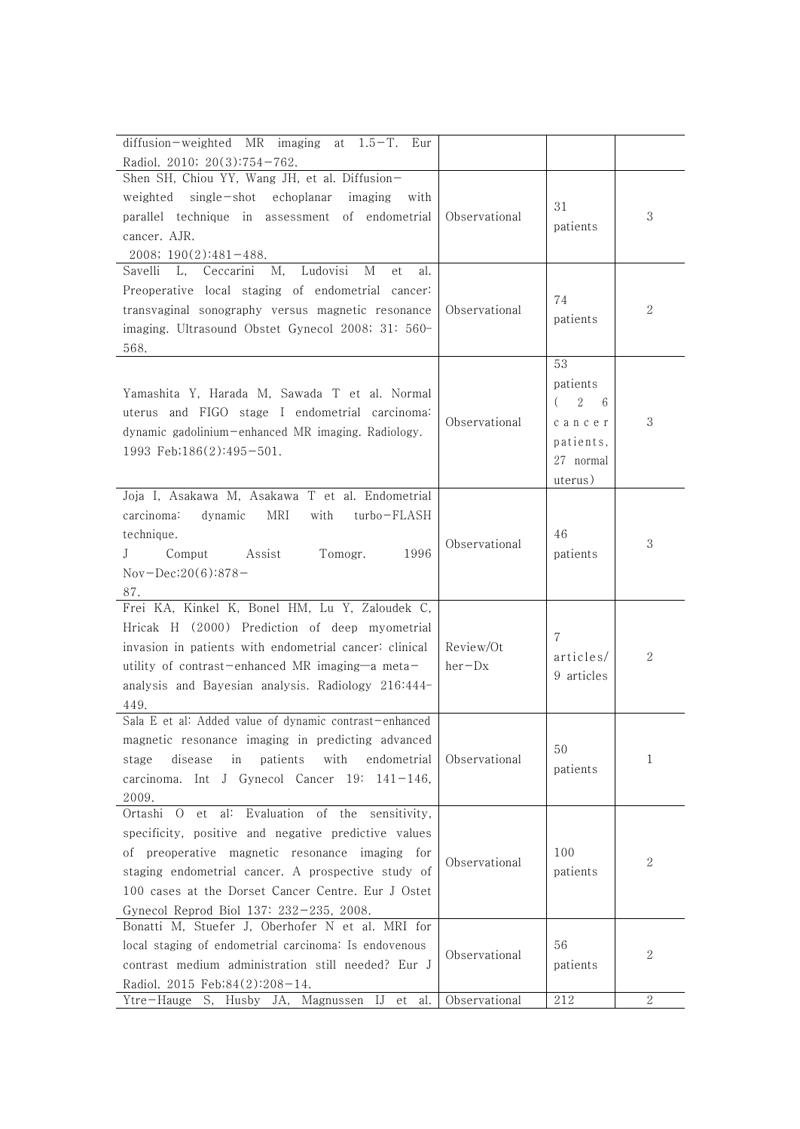| diffusion-weighted MR imaging<br>$1.5 - T$ .<br>Eur<br>at      |               |                                 |              |
|----------------------------------------------------------------|---------------|---------------------------------|--------------|
| Radiol. 2010; 20(3):754-762.                                   |               |                                 |              |
| Shen SH, Chiou YY, Wang JH, et al. Diffusion-                  |               |                                 |              |
| weighted single-shot echoplanar<br>imaging<br>with             |               |                                 |              |
| parallel technique in assessment of endometrial                | Observational | 31                              | 3            |
| cancer. AJR.                                                   |               | patients                        |              |
| $2008; 190(2):481-488.$                                        |               |                                 |              |
| Savelli<br>Ceccarini<br>Ludovisi<br>L,<br>Μ,<br>М<br>et<br>al. |               |                                 |              |
| Preoperative local staging of endometrial cancer:              |               |                                 |              |
| transvaginal sonography versus magnetic resonance              | Observational | 74                              | $\mathbf{2}$ |
| imaging. Ultrasound Obstet Gynecol 2008; 31: 560-              |               | patients                        |              |
| 568.                                                           |               |                                 |              |
|                                                                |               | 53                              |              |
|                                                                |               | patients                        |              |
| Yamashita Y, Harada M, Sawada T et al. Normal                  |               | $\overline{2}$<br>6<br>$\left($ |              |
| uterus and FIGO stage I endometrial carcinoma:                 |               |                                 |              |
| dynamic gadolinium-enhanced MR imaging. Radiology.             | Observational | cancer                          | 3            |
| 1993 Feb;186(2):495-501.                                       |               | patients,                       |              |
|                                                                |               | 27 normal                       |              |
|                                                                |               | uterus)                         |              |
| Joja I, Asakawa M, Asakawa T et al. Endometrial                |               |                                 |              |
| <b>MRI</b><br>carcinoma:<br>dynamic<br>with<br>turbo-FLASH     |               |                                 |              |
| technique.                                                     | Observational | 46                              | 3            |
| Comput<br>Assist<br>Tomogr.<br>1996<br>J                       |               | patients                        |              |
| Nov-Dec;20(6):878-                                             |               |                                 |              |
| 87.                                                            |               |                                 |              |
| Frei KA, Kinkel K, Bonel HM, Lu Y, Zaloudek C,                 |               |                                 |              |
| Hricak H (2000) Prediction of deep myometrial                  |               |                                 |              |
| invasion in patients with endometrial cancer: clinical         | Review/Ot     | $\overline{7}$                  |              |
| utility of contrast-enhanced MR imaging-a meta-                | $her-Dx$      | articles/                       | 2            |
| analysis and Bayesian analysis. Radiology 216:444-             |               | 9 articles                      |              |
| 449.                                                           |               |                                 |              |
| Sala E et al: Added value of dynamic contrast-enhanced         |               |                                 |              |
| magnetic resonance imaging in predicting advanced              |               |                                 |              |
| patients<br>with<br>disease<br>in<br>endometrial<br>stage      | Observational | 50                              | 1            |
| carcinoma. Int J Gynecol Cancer 19: 141-146,                   |               | patients                        |              |
|                                                                |               |                                 |              |
| 2009.<br>al: Evaluation of the sensitivity,<br>Ortashi O et    |               |                                 |              |
|                                                                |               |                                 |              |
| specificity, positive and negative predictive values           |               |                                 |              |
| of preoperative magnetic resonance imaging for                 | Observational | 100                             | $\mathbf{2}$ |
| staging endometrial cancer. A prospective study of             |               | patients                        |              |
| 100 cases at the Dorset Cancer Centre. Eur J Ostet             |               |                                 |              |
| Gynecol Reprod Biol 137: 232-235, 2008.                        |               |                                 |              |
| Bonatti M, Stuefer J, Oberhofer N et al. MRI for               |               |                                 |              |
| local staging of endometrial carcinoma: Is endovenous          | Observational | 56                              | $\mathbf{2}$ |
| contrast medium administration still needed? Eur J             |               | patients                        |              |
| Radiol. 2015 Feb;84(2):208-14.                                 |               |                                 |              |
| Ytre-Hauge S, Husby JA, Magnussen IJ et al.                    | Observational | 212                             | $\sqrt{2}$   |